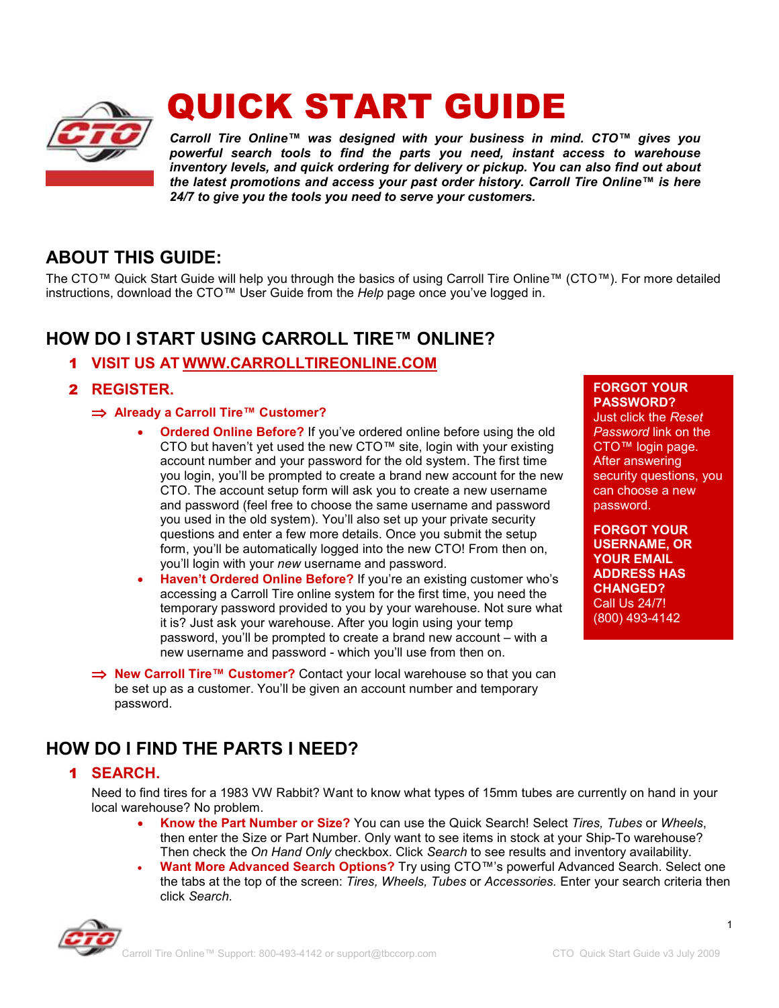

# QUICK START GUIDE

*Carroll Tire Online™ was designed with your business in mind. CTO™ gives you powerful search tools to find the parts you need, instant access to warehouse inventory levels, and quick ordering for delivery or pickup. You can also find out about the latest promotions and access your past order history. Carroll Tire Online™ is here 24/7 to give you the tools you need to serve your customers.*

# **ABOUT THIS GUIDE:**

The CTO™ Quick Start Guide will help you through the basics of using Carroll Tire Online™ (CTO™). For more detailed instructions, download the CTO™ User Guide from the *Help* page once you've logged in.

# **HOW DO I START USING CARROLL TIRE™ ONLINE?**

- 1 **VISIT US AT WWW.CARROLLTIREONLINE.COM**
- 2 **REGISTER.** 
	- ⇒ **Already a Carroll Tire™ Customer?** 
		- **Ordered Online Before?** If you've ordered online before using the old CTO but haven't yet used the new CTO™ site, login with your existing account number and your password for the old system. The first time you login, you'll be prompted to create a brand new account for the new CTO. The account setup form will ask you to create a new username and password (feel free to choose the same username and password you used in the old system). You'll also set up your private security questions and enter a few more details. Once you submit the setup form, you'll be automatically logged into the new CTO! From then on, you'll login with your *new* username and password.
		- **Haven't Ordered Online Before?** If you're an existing customer who's accessing a Carroll Tire online system for the first time, you need the temporary password provided to you by your warehouse. Not sure what it is? Just ask your warehouse. After you login using your temp password, you'll be prompted to create a brand new account – with a new username and password - which you'll use from then on.
	- ⇒ **New Carroll Tire™ Customer?** Contact your local warehouse so that you can be set up as a customer. You'll be given an account number and temporary password.

#### **FORGOT YOUR PASSWORD?**

Just click the *Reset Password* link on the CTO™ login page. After answering security questions, you can choose a new password.

**FORGOT YOUR USERNAME, OR YOUR EMAIL ADDRESS HAS CHANGED?** Call Us 24/7! (800) 493-4142

## **HOW DO I FIND THE PARTS I NEED?**

## 1 **SEARCH.**

Need to find tires for a 1983 VW Rabbit? Want to know what types of 15mm tubes are currently on hand in your local warehouse? No problem.

- **Know the Part Number or Size?** You can use the Quick Search! Select *Tires, Tubes* or *Wheels*, then enter the Size or Part Number. Only want to see items in stock at your Ship-To warehouse? Then check the *On Hand Only* checkbox. Click *Search* to see results and inventory availability.
- **Want More Advanced Search Options?** Try using CTO™'s powerful Advanced Search. Select one the tabs at the top of the screen: *Tires, Wheels, Tubes* or *Accessories.* Enter your search criteria then click *Search*.



1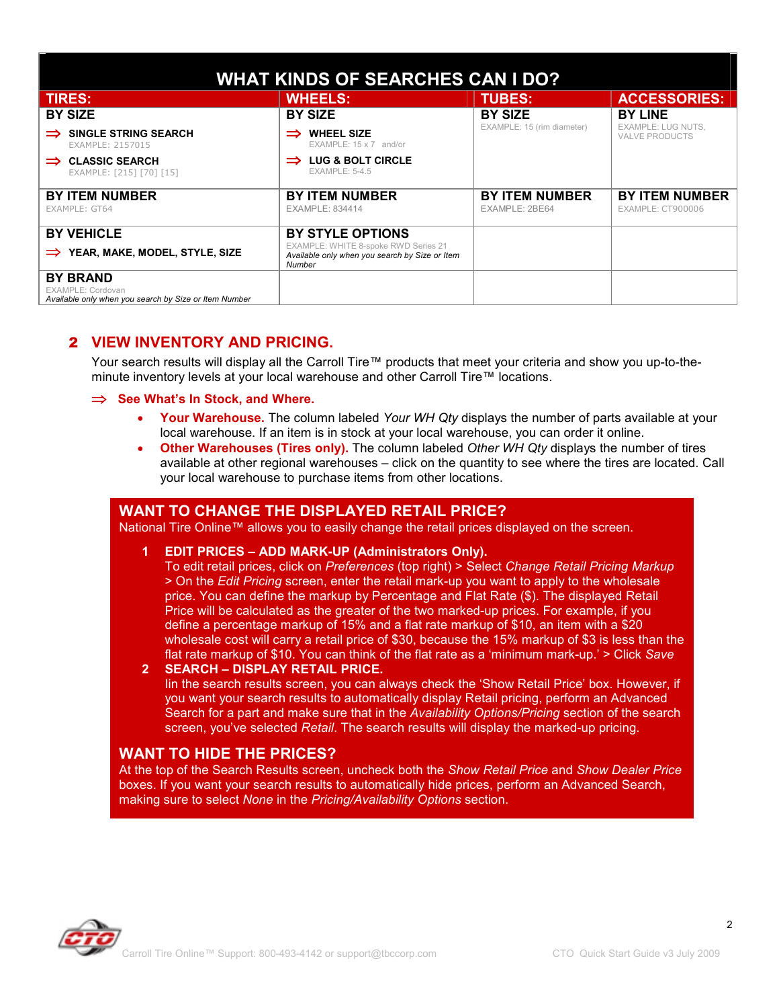| <b>WHAT KINDS OF SEARCHES CAN I DO?</b>                                                       |                                                                                                  |                                         |                                                    |
|-----------------------------------------------------------------------------------------------|--------------------------------------------------------------------------------------------------|-----------------------------------------|----------------------------------------------------|
| <b>TIRES:</b>                                                                                 | <b>WHEELS:</b>                                                                                   | <b>TUBES:</b>                           | <b>ACCESSORIES:</b>                                |
| <b>BY SIZE</b>                                                                                | <b>BY SIZE</b>                                                                                   | <b>BY SIZE</b>                          | <b>BY LINE</b>                                     |
| <b>SINGLE STRING SEARCH</b><br>EXAMPLE: 2157015                                               | <b>WHEEL SIZE</b><br>$EXAMPLE: 15 \times 7$ and/or                                               | EXAMPLE: 15 (rim diameter)              | <b>EXAMPLE: LUG NUTS.</b><br><b>VALVE PRODUCTS</b> |
| <b>CLASSIC SEARCH</b><br>$\Rightarrow$<br>EXAMPLE: [215] [70] [15]                            | LUG & BOLT CIRCLE<br><b>EXAMPLE: 5-4.5</b>                                                       |                                         |                                                    |
| <b>BY ITEM NUMBER</b><br>EXAMPLE: GT64                                                        | <b>BY ITEM NUMBER</b><br><b>EXAMPLE: 834414</b>                                                  | <b>BY ITEM NUMBER</b><br>EXAMPLE: 2BE64 | <b>BY ITEM NUMBER</b><br>EXAMPLE: CT900006         |
| <b>BY VEHICLE</b>                                                                             | <b>BY STYLE OPTIONS</b>                                                                          |                                         |                                                    |
| YEAR, MAKE, MODEL, STYLE, SIZE<br>$\Rightarrow$                                               | EXAMPLE: WHITE 8-spoke RWD Series 21<br>Available only when you search by Size or Item<br>Number |                                         |                                                    |
| <b>BY BRAND</b><br>EXAMPLE: Cordovan<br>Available only when you search by Size or Item Number |                                                                                                  |                                         |                                                    |

## 2 **VIEW INVENTORY AND PRICING.**

Your search results will display all the Carroll Tire™ products that meet your criteria and show you up-to-theminute inventory levels at your local warehouse and other Carroll Tire™ locations.

#### ⇒ **See What's In Stock, and Where.**

- **Your Warehouse.** The column labeled *Your WH Qty* displays the number of parts available at your local warehouse. If an item is in stock at your local warehouse, you can order it online.
- **Other Warehouses (Tires only).** The column labeled *Other WH Qty* displays the number of tires available at other regional warehouses – click on the quantity to see where the tires are located. Call your local warehouse to purchase items from other locations.

#### **WANT TO CHANGE THE DISPLAYED RETAIL PRICE?**

National Tire Online™ allows you to easily change the retail prices displayed on the screen.

#### **1 EDIT PRICES – ADD MARK-UP (Administrators Only).**

To edit retail prices, click on *Preferences* (top right) > Select *Change Retail Pricing Markup* > On the *Edit Pricing* screen, enter the retail mark-up you want to apply to the wholesale price. You can define the markup by Percentage and Flat Rate (\$). The displayed Retail Price will be calculated as the greater of the two marked-up prices. For example, if you define a percentage markup of 15% and a flat rate markup of \$10, an item with a \$20 wholesale cost will carry a retail price of \$30, because the 15% markup of \$3 is less than the flat rate markup of \$10. You can think of the flat rate as a 'minimum mark-up.' > Click *Save*

#### **2 SEARCH – DISPLAY RETAIL PRICE.**

Iin the search results screen, you can always check the 'Show Retail Price' box. However, if you want your search results to automatically display Retail pricing, perform an Advanced Search for a part and make sure that in the *Availability Options/Pricing* section of the search screen, you've selected *Retail*. The search results will display the marked-up pricing.

#### **WANT TO HIDE THE PRICES?**

At the top of the Search Results screen, uncheck both the *Show Retail Price* and *Show Dealer Price* boxes. If you want your search results to automatically hide prices, perform an Advanced Search, making sure to select *None* in the *Pricing/Availability Options* section.



2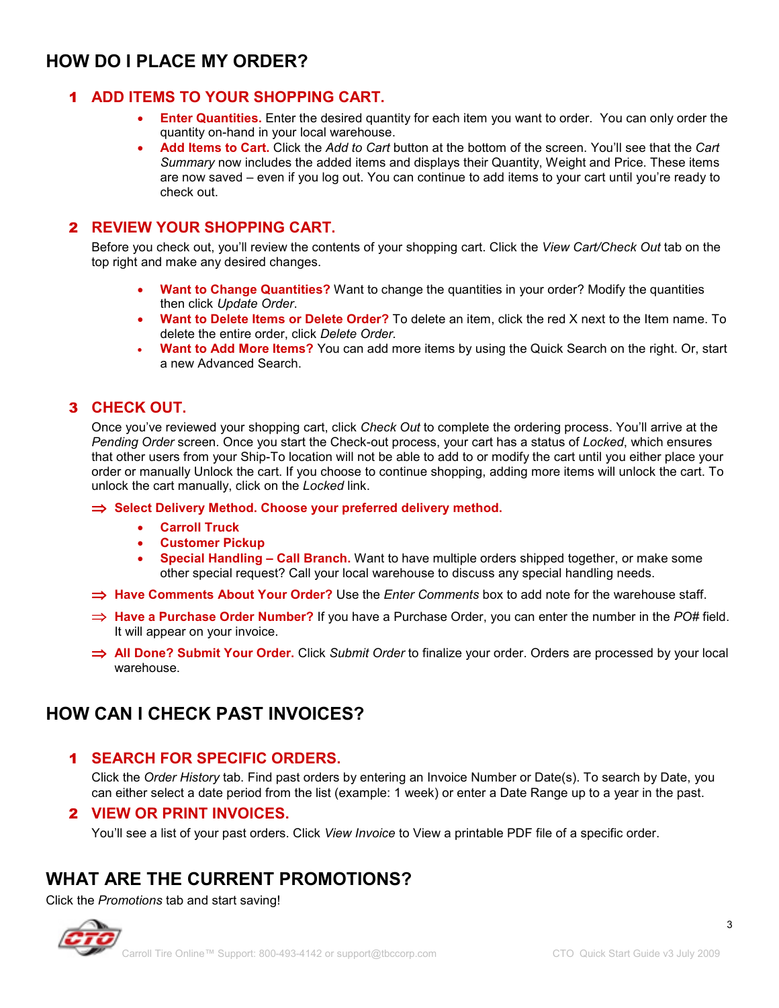## **HOW DO I PLACE MY ORDER?**

## 1 **ADD ITEMS TO YOUR SHOPPING CART.**

- **Enter Quantities.** Enter the desired quantity for each item you want to order. You can only order the quantity on-hand in your local warehouse.
- **Add Items to Cart.** Click the *Add to Cart* button at the bottom of the screen. You'll see that the *Cart Summary* now includes the added items and displays their Quantity, Weight and Price. These items are now saved – even if you log out. You can continue to add items to your cart until you're ready to check out.

## 2 **REVIEW YOUR SHOPPING CART.**

Before you check out, you'll review the contents of your shopping cart. Click the *View Cart/Check Out* tab on the top right and make any desired changes.

- **Want to Change Quantities?** Want to change the quantities in your order? Modify the quantities then click *Update Order*.
- **Want to Delete Items or Delete Order?** To delete an item, click the red X next to the Item name. To delete the entire order, click *Delete Order.*
- **Want to Add More Items?** You can add more items by using the Quick Search on the right. Or, start a new Advanced Search.

## 3 **CHECK OUT.**

Once you've reviewed your shopping cart, click *Check Out* to complete the ordering process. You'll arrive at the *Pending Order* screen. Once you start the Check-out process, your cart has a status of *Locked*, which ensures that other users from your Ship-To location will not be able to add to or modify the cart until you either place your order or manually Unlock the cart. If you choose to continue shopping, adding more items will unlock the cart. To unlock the cart manually, click on the *Locked* link.

⇒ **Select Delivery Method. Choose your preferred delivery method.** 

- **Carroll Truck**
- **Customer Pickup**
- **Special Handling Call Branch.** Want to have multiple orders shipped together, or make some other special request? Call your local warehouse to discuss any special handling needs.
- ⇒ **Have Comments About Your Order?** Use the *Enter Comments* box to add note for the warehouse staff.
- ⇒ **Have a Purchase Order Number?** If you have a Purchase Order, you can enter the number in the *PO#* field. It will appear on your invoice.
- ⇒ **All Done? Submit Your Order.** Click *Submit Order* to finalize your order. Orders are processed by your local warehouse.

## **HOW CAN I CHECK PAST INVOICES?**

## 1 **SEARCH FOR SPECIFIC ORDERS.**

Click the *Order History* tab. Find past orders by entering an Invoice Number or Date(s). To search by Date, you can either select a date period from the list (example: 1 week) or enter a Date Range up to a year in the past.

#### 2 **VIEW OR PRINT INVOICES.**

You'll see a list of your past orders. Click *View Invoice* to View a printable PDF file of a specific order.

## **WHAT ARE THE CURRENT PROMOTIONS?**

Click the *Promotions* tab and start saving!